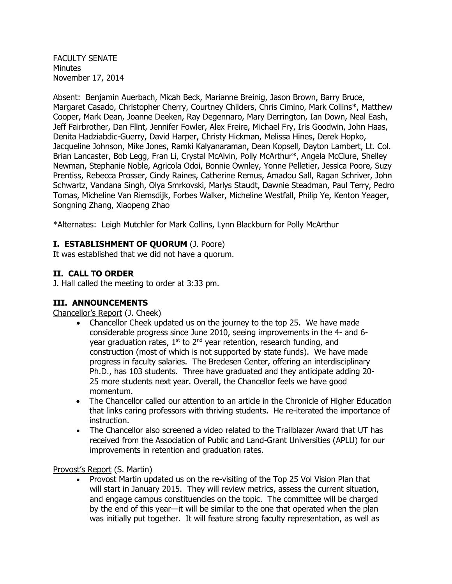FACULTY SENATE Minutes November 17, 2014

Absent: Benjamin Auerbach, Micah Beck, Marianne Breinig, Jason Brown, Barry Bruce, Margaret Casado, Christopher Cherry, Courtney Childers, Chris Cimino, Mark Collins\*, Matthew Cooper, Mark Dean, Joanne Deeken, Ray Degennaro, Mary Derrington, Ian Down, Neal Eash, Jeff Fairbrother, Dan Flint, Jennifer Fowler, Alex Freire, Michael Fry, Iris Goodwin, John Haas, Denita Hadziabdic-Guerry, David Harper, Christy Hickman, Melissa Hines, Derek Hopko, Jacqueline Johnson, Mike Jones, Ramki Kalyanaraman, Dean Kopsell, Dayton Lambert, Lt. Col. Brian Lancaster, Bob Legg, Fran Li, Crystal McAlvin, Polly McArthur\*, Angela McClure, Shelley Newman, Stephanie Noble, Agricola Odoi, Bonnie Ownley, Yonne Pelletier, Jessica Poore, Suzy Prentiss, Rebecca Prosser, Cindy Raines, Catherine Remus, Amadou Sall, Ragan Schriver, John Schwartz, Vandana Singh, Olya Smrkovski, Marlys Staudt, Dawnie Steadman, Paul Terry, Pedro Tomas, Micheline Van Riemsdijk, Forbes Walker, Micheline Westfall, Philip Ye, Kenton Yeager, Songning Zhang, Xiaopeng Zhao

\*Alternates: Leigh Mutchler for Mark Collins, Lynn Blackburn for Polly McArthur

# **I. ESTABLISHMENT OF QUORUM** (J. Poore)

It was established that we did not have a quorum.

# **II. CALL TO ORDER**

J. Hall called the meeting to order at 3:33 pm.

# **III. ANNOUNCEMENTS**

Chancellor's Report (J. Cheek)

- Chancellor Cheek updated us on the journey to the top 25. We have made considerable progress since June 2010, seeing improvements in the 4- and 6 year graduation rates,  $1<sup>st</sup>$  to  $2<sup>nd</sup>$  year retention, research funding, and construction (most of which is not supported by state funds). We have made progress in faculty salaries. The Bredesen Center, offering an interdisciplinary Ph.D., has 103 students. Three have graduated and they anticipate adding 20- 25 more students next year. Overall, the Chancellor feels we have good momentum.
- The Chancellor called our attention to an article in the Chronicle of Higher Education that links caring professors with thriving students. He re-iterated the importance of instruction.
- The Chancellor also screened a video related to the Trailblazer Award that UT has received from the Association of Public and Land-Grant Universities (APLU) for our improvements in retention and graduation rates.

Provost's Report (S. Martin)

• Provost Martin updated us on the re-visiting of the Top 25 Vol Vision Plan that will start in January 2015. They will review metrics, assess the current situation, and engage campus constituencies on the topic. The committee will be charged by the end of this year—it will be similar to the one that operated when the plan was initially put together. It will feature strong faculty representation, as well as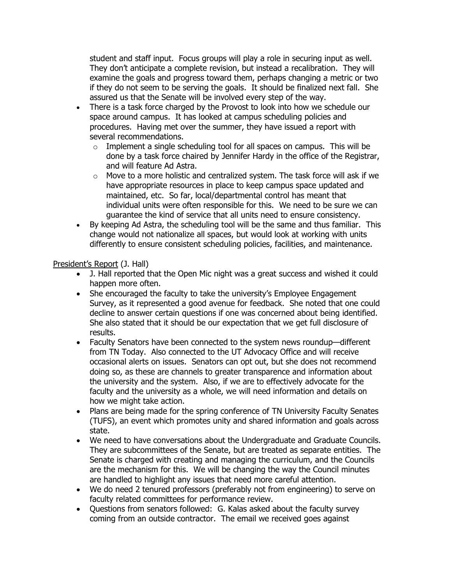student and staff input. Focus groups will play a role in securing input as well. They don't anticipate a complete revision, but instead a recalibration. They will examine the goals and progress toward them, perhaps changing a metric or two if they do not seem to be serving the goals. It should be finalized next fall. She assured us that the Senate will be involved every step of the way.

- There is a task force charged by the Provost to look into how we schedule our space around campus. It has looked at campus scheduling policies and procedures. Having met over the summer, they have issued a report with several recommendations.
	- $\circ$  Implement a single scheduling tool for all spaces on campus. This will be done by a task force chaired by Jennifer Hardy in the office of the Registrar, and will feature Ad Astra.
	- $\circ$  Move to a more holistic and centralized system. The task force will ask if we have appropriate resources in place to keep campus space updated and maintained, etc. So far, local/departmental control has meant that individual units were often responsible for this. We need to be sure we can guarantee the kind of service that all units need to ensure consistency.
- By keeping Ad Astra, the scheduling tool will be the same and thus familiar. This change would not nationalize all spaces, but would look at working with units differently to ensure consistent scheduling policies, facilities, and maintenance.

# President's Report (J. Hall)

- J. Hall reported that the Open Mic night was a great success and wished it could happen more often.
- She encouraged the faculty to take the university's Employee Engagement Survey, as it represented a good avenue for feedback. She noted that one could decline to answer certain questions if one was concerned about being identified. She also stated that it should be our expectation that we get full disclosure of results.
- Faculty Senators have been connected to the system news roundup—different from TN Today. Also connected to the UT Advocacy Office and will receive occasional alerts on issues. Senators can opt out, but she does not recommend doing so, as these are channels to greater transparence and information about the university and the system. Also, if we are to effectively advocate for the faculty and the university as a whole, we will need information and details on how we might take action.
- Plans are being made for the spring conference of TN University Faculty Senates (TUFS), an event which promotes unity and shared information and goals across state.
- We need to have conversations about the Undergraduate and Graduate Councils. They are subcommittees of the Senate, but are treated as separate entities. The Senate is charged with creating and managing the curriculum, and the Councils are the mechanism for this. We will be changing the way the Council minutes are handled to highlight any issues that need more careful attention.
- We do need 2 tenured professors (preferably not from engineering) to serve on faculty related committees for performance review.
- Questions from senators followed: G. Kalas asked about the faculty survey coming from an outside contractor. The email we received goes against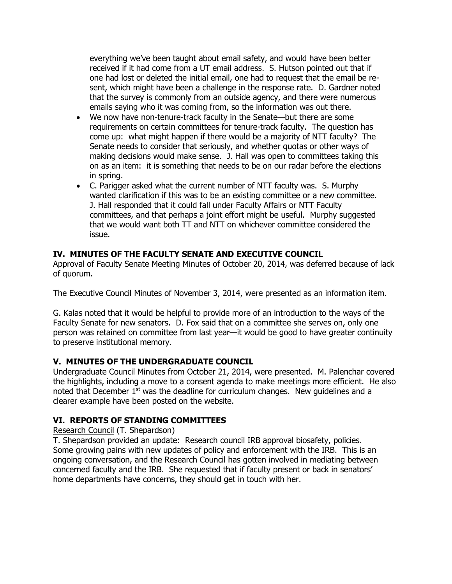everything we've been taught about email safety, and would have been better received if it had come from a UT email address. S. Hutson pointed out that if one had lost or deleted the initial email, one had to request that the email be resent, which might have been a challenge in the response rate. D. Gardner noted that the survey is commonly from an outside agency, and there were numerous emails saying who it was coming from, so the information was out there.

- We now have non-tenure-track faculty in the Senate—but there are some requirements on certain committees for tenure-track faculty. The question has come up: what might happen if there would be a majority of NTT faculty? The Senate needs to consider that seriously, and whether quotas or other ways of making decisions would make sense. J. Hall was open to committees taking this on as an item: it is something that needs to be on our radar before the elections in spring.
- C. Parigger asked what the current number of NTT faculty was. S. Murphy wanted clarification if this was to be an existing committee or a new committee. J. Hall responded that it could fall under Faculty Affairs or NTT Faculty committees, and that perhaps a joint effort might be useful. Murphy suggested that we would want both TT and NTT on whichever committee considered the issue.

### **IV. MINUTES OF THE FACULTY SENATE AND EXECUTIVE COUNCIL**

Approval of Faculty Senate Meeting Minutes of October 20, 2014, was deferred because of lack of quorum.

The Executive Council Minutes of November 3, 2014, were presented as an information item.

G. Kalas noted that it would be helpful to provide more of an introduction to the ways of the Faculty Senate for new senators. D. Fox said that on a committee she serves on, only one person was retained on committee from last year—it would be good to have greater continuity to preserve institutional memory.

# **V. MINUTES OF THE UNDERGRADUATE COUNCIL**

Undergraduate Council Minutes from October 21, 2014, were presented. M. Palenchar covered the highlights, including a move to a consent agenda to make meetings more efficient. He also noted that December  $1<sup>st</sup>$  was the deadline for curriculum changes. New quidelines and a clearer example have been posted on the website.

### **VI. REPORTS OF STANDING COMMITTEES**

#### Research Council (T. Shepardson)

T. Shepardson provided an update: Research council IRB approval biosafety, policies. Some growing pains with new updates of policy and enforcement with the IRB. This is an ongoing conversation, and the Research Council has gotten involved in mediating between concerned faculty and the IRB. She requested that if faculty present or back in senators' home departments have concerns, they should get in touch with her.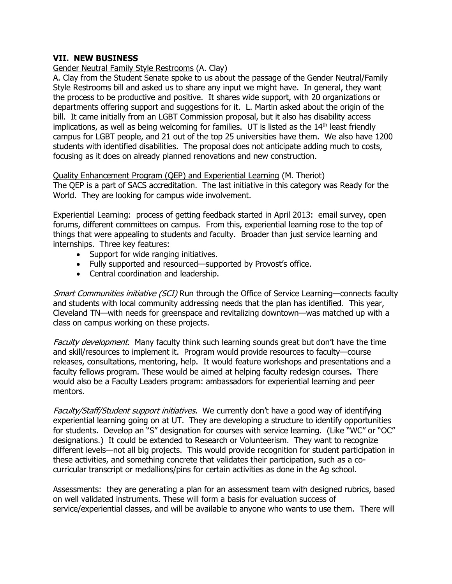### **VII. NEW BUSINESS**

#### Gender Neutral Family Style Restrooms (A. Clay)

A. Clay from the Student Senate spoke to us about the passage of the Gender Neutral/Family Style Restrooms bill and asked us to share any input we might have. In general, they want the process to be productive and positive. It shares wide support, with 20 organizations or departments offering support and suggestions for it. L. Martin asked about the origin of the bill. It came initially from an LGBT Commission proposal, but it also has disability access implications, as well as being welcoming for families. UT is listed as the 14<sup>th</sup> least friendly campus for LGBT people, and 21 out of the top 25 universities have them. We also have 1200 students with identified disabilities. The proposal does not anticipate adding much to costs, focusing as it does on already planned renovations and new construction.

Quality Enhancement Program (QEP) and Experiential Learning (M. Theriot) The QEP is a part of SACS accreditation. The last initiative in this category was Ready for the World. They are looking for campus wide involvement.

Experiential Learning: process of getting feedback started in April 2013: email survey, open forums, different committees on campus. From this, experiential learning rose to the top of things that were appealing to students and faculty. Broader than just service learning and internships. Three key features:

- Support for wide ranging initiatives.
- Fully supported and resourced—supported by Provost's office.
- Central coordination and leadership.

Smart Communities initiative (SCI) Run through the Office of Service Learning—connects faculty and students with local community addressing needs that the plan has identified. This year, Cleveland TN—with needs for greenspace and revitalizing downtown—was matched up with a class on campus working on these projects.

Faculty development. Many faculty think such learning sounds great but don't have the time and skill/resources to implement it. Program would provide resources to faculty—course releases, consultations, mentoring, help. It would feature workshops and presentations and a faculty fellows program. These would be aimed at helping faculty redesign courses. There would also be a Faculty Leaders program: ambassadors for experiential learning and peer mentors.

Faculty/Staff/Student support initiatives. We currently don't have a good way of identifying experiential learning going on at UT. They are developing a structure to identify opportunities for students. Develop an "S" designation for courses with service learning. (Like "WC" or "OC" designations.) It could be extended to Research or Volunteerism. They want to recognize different levels—not all big projects. This would provide recognition for student participation in these activities, and something concrete that validates their participation, such as a cocurricular transcript or medallions/pins for certain activities as done in the Ag school.

Assessments: they are generating a plan for an assessment team with designed rubrics, based on well validated instruments. These will form a basis for evaluation success of service/experiential classes, and will be available to anyone who wants to use them. There will